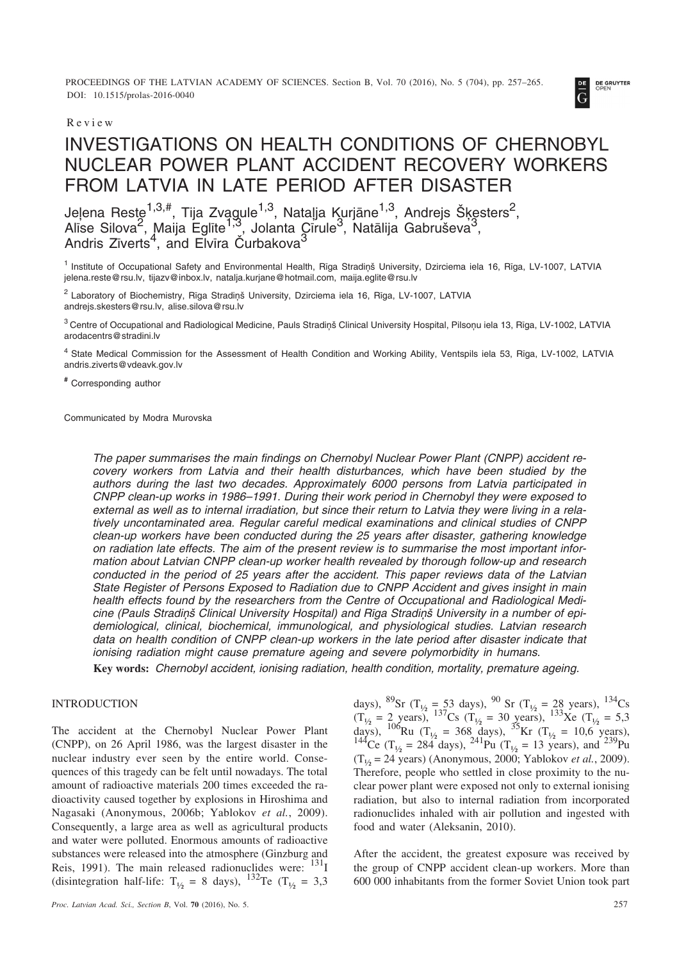PROCEEDINGS OF THE LATVIAN ACADEMY OF SCIENCES. Section B, Vol. 70 (2016), No. 5 (704), pp. 257–265. DOI: 10.1515/prolas-2016-0040



# INVESTIGATIONS ON HEALTH CONDITIONS OF CHERNOBYL NUCLEAR POWER PLANT ACCIDENT RECOVERY WORKERS FROM LATVIA IN LATE PERIOD AFTER DISASTER

Jeļena Reste $^{1,3,\#}$ , Tija Zvagule $^{1,3}$ , Natalja Kurjāne $^{1,3}$ , Andrejs Šķesters $^2$ , Alīse Silova<sup>2</sup>, Maija Eglīte<sup>1,3</sup>, Jolanta Cīrule<sup>3</sup>, Natālija Gabruševa<sup>3</sup>, Andris Zīverts<sup>4</sup>, and Elvīra Čurbakova<sup>3</sup>

<sup>1</sup> Institute of Occupational Safety and Environmental Health, Rīga Stradinš University, Dzirciema iela 16, Rīga, LV-1007, LATVIA jelena.reste@rsu.lv, tijazv@inbox.lv, natalja.kurjane@hotmail.com, maija.eglite@rsu.lv

<sup>2</sup> Laboratory of Biochemistry, Rīga Stradiņš University, Dzirciema iela 16, Rīga, LV-1007, LATVIA andrejs.skesters@rsu.lv, alise.silova@rsu.lv

<sup>3</sup> Centre of Occupational and Radiological Medicine, Pauls Stradiņš Clinical University Hospital, Pilsoņu iela 13, Rīga, LV-1002, LATVIA arodacentrs@stradini.lv

<sup>4</sup> State Medical Commission for the Assessment of Health Condition and Working Ability, Ventspils iela 53, Rīga, LV-1002, LATVIA andris.ziverts@vdeavk.gov.lv

**#** Corresponding author

Communicated by Modra Murovska

*The paper summarises the main findings on Chernobyl Nuclear Power Plant (CNPP) accident recovery workers from Latvia and their health disturbances, which have been studied by the authors during the last two decades. Approximately 6000 persons from Latvia participated in CNPP clean-up works in 1986–1991. During their work period in Chernobyl they were exposed to external as well as to internal irradiation, but since their return to Latvia they were living in a relatively uncontaminated area. Regular careful medical examinations and clinical studies of CNPP clean-up workers have been conducted during the 25 years after disaster, gathering knowledge on radiation late effects. The aim of the present review is to summarise the most important information about Latvian CNPP clean-up worker health revealed by thorough follow-up and research conducted in the period of 25 years after the accident. This paper reviews data of the Latvian State Register of Persons Exposed to Radiation due to CNPP Accident and gives insight in main health effects found by the researchers from the Centre of Occupational and Radiological Medi*cine (Pauls Stradinš Clinical University Hospital) and Rīga Stradinš University in a number of epi*demiological, clinical, biochemical, immunological, and physiological studies. Latvian research data on health condition of CNPP clean-up workers in the late period after disaster indicate that ionising radiation might cause premature ageing and severe polymorbidity in humans.*

**Key words:** *Chernobyl accident, ionising radiation, health condition, mortality, premature ageing.*

# INTRODUCTION

The accident at the Chernobyl Nuclear Power Plant (CNPP), on 26 April 1986, was the largest disaster in the nuclear industry ever seen by the entire world. Consequences of this tragedy can be felt until nowadays. The total amount of radioactive materials 200 times exceeded the radioactivity caused together by explosions in Hiroshima and Nagasaki (Anonymous, 2006b; Yablokov *et al.*, 2009). Consequently, a large area as well as agricultural products and water were polluted. Enormous amounts of radioactive substances were released into the atmosphere (Ginzburg and Reis, 1991). The main released radionuclides were:  $^{131}$ I (disintegration half-life:  $T_{1/2} = 8$  days), <sup>132</sup>Te (T<sub>1/2</sub> = 3,3

*Proc. Latvian Acad. Sci., Section B*, Vol. **70** (2016), No. 5. 257

days), <sup>89</sup>Sr (T<sub>1/2</sub> = 53 days), <sup>90</sup> Sr (T<sub>1/2</sub> = 28 years), <sup>134</sup>Cs  $(T_{1/2} = 2 \text{ years})$ ,  $^{137}$ Cs  $(T_{1/2} = 30 \text{ years})$ ,  $^{133}$ Xe  $(T_{1/2} = 5.3$ days), <sup>106</sup>Ru (T<sub>1/2</sub> = 368 days), <sup>35</sup>Kr (T<sub>1/2</sub> = 10,6 years), <sup>144</sup>Ce (T<sub>1/2</sub> = 284 days), <sup>241</sup>Pu (T<sub>1/2</sub> = 13 years), and <sup>239</sup>Pu  $(T_{14} = 24 \text{ years})$  (Anonymous, 2000; Yablokov *et al.*, 2009). Therefore, people who settled in close proximity to the nuclear power plant were exposed not only to external ionising radiation, but also to internal radiation from incorporated radionuclides inhaled with air pollution and ingested with food and water (Aleksanin, 2010).

After the accident, the greatest exposure was received by the group of CNPP accident clean-up workers. More than 600 000 inhabitants from the former Soviet Union took part

**DE GRUYTER**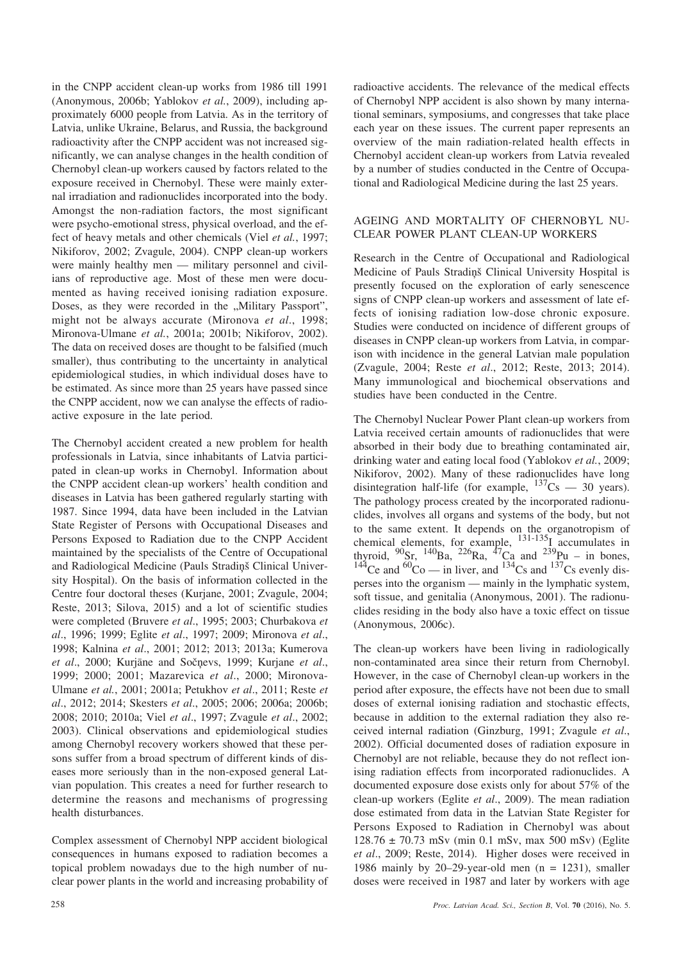in the CNPP accident clean-up works from 1986 till 1991 (Anonymous, 2006b; Yablokov *et al.*, 2009), including approximately 6000 people from Latvia. As in the territory of Latvia, unlike Ukraine, Belarus, and Russia, the background radioactivity after the CNPP accident was not increased significantly, we can analyse changes in the health condition of Chernobyl clean-up workers caused by factors related to the exposure received in Chernobyl. These were mainly external irradiation and radionuclides incorporated into the body. Amongst the non-radiation factors, the most significant were psycho-emotional stress, physical overload, and the effect of heavy metals and other chemicals (Viel *et al.*, 1997; Nikiforov, 2002; Zvagule, 2004). CNPP clean-up workers were mainly healthy men — military personnel and civilians of reproductive age. Most of these men were documented as having received ionising radiation exposure. Doses, as they were recorded in the "Military Passport", might not be always accurate (Mironova *et al*., 1998; Mironova-Ulmane *et al.*, 2001a; 2001b; Nikiforov, 2002). The data on received doses are thought to be falsified (much smaller), thus contributing to the uncertainty in analytical epidemiological studies, in which individual doses have to be estimated. As since more than 25 years have passed since the CNPP accident, now we can analyse the effects of radioactive exposure in the late period.

The Chernobyl accident created a new problem for health professionals in Latvia, since inhabitants of Latvia participated in clean-up works in Chernobyl. Information about the CNPP accident clean-up workers' health condition and diseases in Latvia has been gathered regularly starting with 1987. Since 1994, data have been included in the Latvian State Register of Persons with Occupational Diseases and Persons Exposed to Radiation due to the CNPP Accident maintained by the specialists of the Centre of Occupational and Radiological Medicine (Pauls Stradiņš Clinical University Hospital). On the basis of information collected in the Centre four doctoral theses (Kurjane, 2001; Zvagule, 2004; Reste, 2013; Silova, 2015) and a lot of scientific studies were completed (Bruvere *et al*., 1995; 2003; Churbakova *et al*., 1996; 1999; Eglite *et al*., 1997; 2009; Mironova *et al*., 1998; Kalnina *et al*., 2001; 2012; 2013; 2013a; Kumerova *et al*., 2000; Kurjâne and Soèòevs, 1999; Kurjane *et al*., 1999; 2000; 2001; Mazarevica *et al*., 2000; Mironova-Ulmane *et al.*, 2001; 2001a; Petukhov *et al*., 2011; Reste *et al*., 2012; 2014; Skesters *et al*., 2005; 2006; 2006a; 2006b; 2008; 2010; 2010a; Viel *et al*., 1997; Zvagule *et al*., 2002; 2003). Clinical observations and epidemiological studies among Chernobyl recovery workers showed that these persons suffer from a broad spectrum of different kinds of diseases more seriously than in the non-exposed general Latvian population. This creates a need for further research to determine the reasons and mechanisms of progressing health disturbances.

Complex assessment of Chernobyl NPP accident biological consequences in humans exposed to radiation becomes a topical problem nowadays due to the high number of nuclear power plants in the world and increasing probability of radioactive accidents. The relevance of the medical effects of Chernobyl NPP accident is also shown by many international seminars, symposiums, and congresses that take place each year on these issues. The current paper represents an overview of the main radiation-related health effects in Chernobyl accident clean-up workers from Latvia revealed by a number of studies conducted in the Centre of Occupational and Radiological Medicine during the last 25 years.

## AGEING AND MORTALITY OF CHERNOBYL NU-CLEAR POWER PLANT CLEAN-UP WORKERS

Research in the Centre of Occupational and Radiological Medicine of Pauls Stradinš Clinical University Hospital is presently focused on the exploration of early senescence signs of CNPP clean-up workers and assessment of late effects of ionising radiation low-dose chronic exposure. Studies were conducted on incidence of different groups of diseases in CNPP clean-up workers from Latvia, in comparison with incidence in the general Latvian male population (Zvagule, 2004; Reste *et al*., 2012; Reste, 2013; 2014). Many immunological and biochemical observations and studies have been conducted in the Centre.

The Chernobyl Nuclear Power Plant clean-up workers from Latvia received certain amounts of radionuclides that were absorbed in their body due to breathing contaminated air, drinking water and eating local food (Yablokov *et al.*, 2009; Nikiforov, 2002). Many of these radionuclides have long disintegration half-life (for example,  $^{137}Cs$  — 30 years). The pathology process created by the incorporated radionuclides, involves all organs and systems of the body, but not to the same extent. It depends on the organotropism of chemical elements, for example,  $^{131-135}$ I accumulates in thyroid,  $^{90}$ Sr,  $^{140}$ Ba,  $^{226}$ Ra,  $^{47}$ Ca and  $^{239}$ Pu – in bones, <sup>144</sup>Ce and <sup>60</sup>Co — in liver, and <sup>134</sup>Cs and <sup>137</sup>Cs evenly disperses into the organism — mainly in the lymphatic system, soft tissue, and genitalia (Anonymous, 2001). The radionuclides residing in the body also have a toxic effect on tissue (Anonymous, 2006c).

The clean-up workers have been living in radiologically non-contaminated area since their return from Chernobyl. However, in the case of Chernobyl clean-up workers in the period after exposure, the effects have not been due to small doses of external ionising radiation and stochastic effects, because in addition to the external radiation they also received internal radiation (Ginzburg, 1991; Zvagule *et al*., 2002). Official documented doses of radiation exposure in Chernobyl are not reliable, because they do not reflect ionising radiation effects from incorporated radionuclides. A documented exposure dose exists only for about 57% of the clean-up workers (Eglite *et al*., 2009). The mean radiation dose estimated from data in the Latvian State Register for Persons Exposed to Radiation in Chernobyl was about 128.76 ± 70.73 mSv (min 0.1 mSv, max 500 mSv) (Eglite *et al*., 2009; Reste, 2014). Higher doses were received in 1986 mainly by 20–29-year-old men  $(n = 1231)$ , smaller doses were received in 1987 and later by workers with age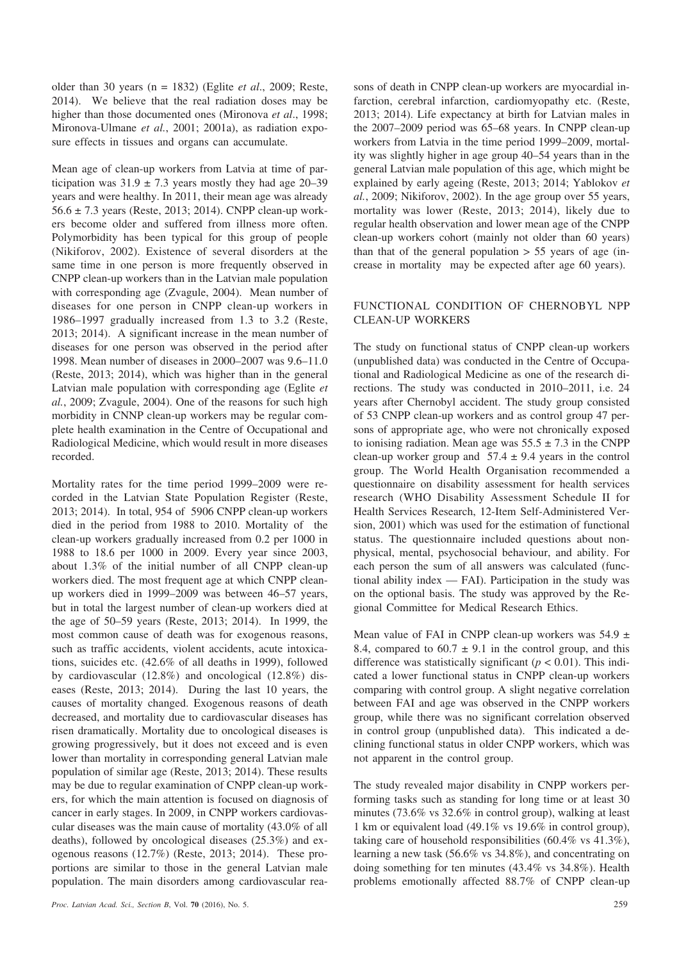older than 30 years (n = 1832) (Eglite *et al*., 2009; Reste, 2014). We believe that the real radiation doses may be higher than those documented ones (Mironova *et al*., 1998; Mironova-Ulmane *et al.*, 2001; 2001a), as radiation exposure effects in tissues and organs can accumulate.

Mean age of clean-up workers from Latvia at time of participation was  $31.9 \pm 7.3$  years mostly they had age 20–39 years and were healthy. In 2011, their mean age was already  $56.6 \pm 7.3$  years (Reste, 2013; 2014). CNPP clean-up workers become older and suffered from illness more often. Polymorbidity has been typical for this group of people (Nikiforov, 2002). Existence of several disorders at the same time in one person is more frequently observed in CNPP clean-up workers than in the Latvian male population with corresponding age (Zvagule, 2004). Mean number of diseases for one person in CNPP clean-up workers in 1986–1997 gradually increased from 1.3 to 3.2 (Reste, 2013; 2014). A significant increase in the mean number of diseases for one person was observed in the period after 1998. Mean number of diseases in 2000–2007 was 9.6–11.0 (Reste, 2013; 2014), which was higher than in the general Latvian male population with corresponding age (Eglite *et al.*, 2009; Zvagule, 2004). One of the reasons for such high morbidity in CNNP clean-up workers may be regular complete health examination in the Centre of Occupational and Radiological Medicine, which would result in more diseases recorded.

Mortality rates for the time period 1999–2009 were recorded in the Latvian State Population Register (Reste, 2013; 2014). In total, 954 of 5906 CNPP clean-up workers died in the period from 1988 to 2010. Mortality of the clean-up workers gradually increased from 0.2 per 1000 in 1988 to 18.6 per 1000 in 2009. Every year since 2003, about 1.3% of the initial number of all CNPP clean-up workers died. The most frequent age at which CNPP cleanup workers died in 1999–2009 was between 46–57 years, but in total the largest number of clean-up workers died at the age of 50–59 years (Reste, 2013; 2014). In 1999, the most common cause of death was for exogenous reasons, such as traffic accidents, violent accidents, acute intoxications, suicides etc. (42.6% of all deaths in 1999), followed by cardiovascular (12.8%) and oncological (12.8%) diseases (Reste, 2013; 2014). During the last 10 years, the causes of mortality changed. Exogenous reasons of death decreased, and mortality due to cardiovascular diseases has risen dramatically. Mortality due to oncological diseases is growing progressively, but it does not exceed and is even lower than mortality in corresponding general Latvian male population of similar age (Reste, 2013; 2014). These results may be due to regular examination of CNPP clean-up workers, for which the main attention is focused on diagnosis of cancer in early stages. In 2009, in CNPP workers cardiovascular diseases was the main cause of mortality (43.0% of all deaths), followed by oncological diseases (25.3%) and exogenous reasons (12.7%) (Reste, 2013; 2014). These proportions are similar to those in the general Latvian male population. The main disorders among cardiovascular reasons of death in CNPP clean-up workers are myocardial infarction, cerebral infarction, cardiomyopathy etc. (Reste, 2013; 2014). Life expectancy at birth for Latvian males in the 2007–2009 period was 65–68 years. In CNPP clean-up workers from Latvia in the time period 1999–2009, mortality was slightly higher in age group 40–54 years than in the general Latvian male population of this age, which might be explained by early ageing (Reste, 2013; 2014; Yablokov *et al.*, 2009; Nikiforov, 2002). In the age group over 55 years, mortality was lower (Reste, 2013; 2014), likely due to regular health observation and lower mean age of the CNPP clean-up workers cohort (mainly not older than 60 years) than that of the general population  $> 55$  years of age (increase in mortality may be expected after age 60 years).

## FUNCTIONAL CONDITION OF CHERNOBYL NPP CLEAN-UP WORKERS

The study on functional status of CNPP clean-up workers (unpublished data) was conducted in the Centre of Occupational and Radiological Medicine as one of the research directions. The study was conducted in 2010–2011, i.e. 24 years after Chernobyl accident. The study group consisted of 53 CNPP clean-up workers and as control group 47 persons of appropriate age, who were not chronically exposed to ionising radiation. Mean age was  $55.5 \pm 7.3$  in the CNPP clean-up worker group and  $57.4 \pm 9.4$  years in the control group. The World Health Organisation recommended a questionnaire on disability assessment for health services research (WHO Disability Assessment Schedule II for Health Services Research, 12-Item Self-Administered Version, 2001) which was used for the estimation of functional status. The questionnaire included questions about nonphysical, mental, psychosocial behaviour, and ability. For each person the sum of all answers was calculated (functional ability index — FAI). Participation in the study was on the optional basis. The study was approved by the Regional Committee for Medical Research Ethics.

Mean value of FAI in CNPP clean-up workers was  $54.9 \pm$ 8.4, compared to  $60.7 \pm 9.1$  in the control group, and this difference was statistically significant ( $p < 0.01$ ). This indicated a lower functional status in CNPP clean-up workers comparing with control group. A slight negative correlation between FAI and age was observed in the CNPP workers group, while there was no significant correlation observed in control group (unpublished data). This indicated a declining functional status in older CNPP workers, which was not apparent in the control group.

The study revealed major disability in CNPP workers performing tasks such as standing for long time or at least 30 minutes (73.6% vs 32.6% in control group), walking at least 1 km or equivalent load (49.1% vs 19.6% in control group), taking care of household responsibilities (60.4% vs 41.3%), learning a new task (56.6% vs 34.8%), and concentrating on doing something for ten minutes (43.4% vs 34.8%). Health problems emotionally affected 88.7% of CNPP clean-up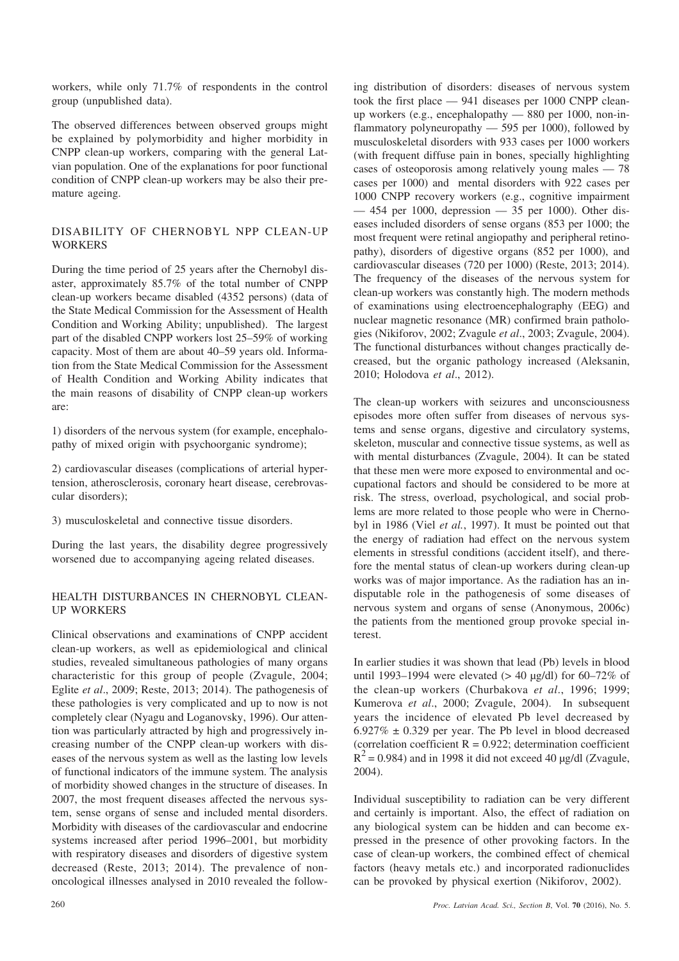workers, while only 71.7% of respondents in the control group (unpublished data).

The observed differences between observed groups might be explained by polymorbidity and higher morbidity in CNPP clean-up workers, comparing with the general Latvian population. One of the explanations for poor functional condition of CNPP clean-up workers may be also their premature ageing.

# DISABILITY OF CHERNOBYL NPP CLEAN-UP **WORKERS**

During the time period of 25 years after the Chernobyl disaster, approximately 85.7% of the total number of CNPP clean-up workers became disabled (4352 persons) (data of the State Medical Commission for the Assessment of Health Condition and Working Ability; unpublished). The largest part of the disabled CNPP workers lost 25–59% of working capacity. Most of them are about 40–59 years old. Information from the State Medical Commission for the Assessment of Health Condition and Working Ability indicates that the main reasons of disability of CNPP clean-up workers are:

1) disorders of the nervous system (for example, encephalopathy of mixed origin with psychoorganic syndrome);

2) cardiovascular diseases (complications of arterial hypertension, atherosclerosis, coronary heart disease, cerebrovascular disorders);

3) musculoskeletal and connective tissue disorders.

During the last years, the disability degree progressively worsened due to accompanying ageing related diseases.

#### HEALTH DISTURBANCES IN CHERNOBYL CLEAN-UP WORKERS

Clinical observations and examinations of CNPP accident clean-up workers, as well as epidemiological and clinical studies, revealed simultaneous pathologies of many organs characteristic for this group of people (Zvagule, 2004; Eglite *et al*., 2009; Reste, 2013; 2014). The pathogenesis of these pathologies is very complicated and up to now is not completely clear (Nyagu and Loganovsky, 1996). Our attention was particularly attracted by high and progressively increasing number of the CNPP clean-up workers with diseases of the nervous system as well as the lasting low levels of functional indicators of the immune system. The analysis of morbidity showed changes in the structure of diseases. In 2007, the most frequent diseases affected the nervous system, sense organs of sense and included mental disorders. Morbidity with diseases of the cardiovascular and endocrine systems increased after period 1996–2001, but morbidity with respiratory diseases and disorders of digestive system decreased (Reste, 2013; 2014). The prevalence of nononcological illnesses analysed in 2010 revealed the following distribution of disorders: diseases of nervous system took the first place — 941 diseases per 1000 CNPP cleanup workers (e.g., encephalopathy — 880 per 1000, non-inflammatory polyneuropathy — 595 per 1000), followed by musculoskeletal disorders with 933 cases per 1000 workers (with frequent diffuse pain in bones, specially highlighting cases of osteoporosis among relatively young males — 78 cases per 1000) and mental disorders with 922 cases per 1000 CNPP recovery workers (e.g., cognitive impairment — 454 per 1000, depression — 35 per 1000). Other diseases included disorders of sense organs (853 per 1000; the most frequent were retinal angiopathy and peripheral retinopathy), disorders of digestive organs (852 per 1000), and cardiovascular diseases (720 per 1000) (Reste, 2013; 2014). The frequency of the diseases of the nervous system for clean-up workers was constantly high. The modern methods of examinations using electroencephalography (EEG) and nuclear magnetic resonance (MR) confirmed brain pathologies (Nikiforov, 2002; Zvagule *et al*., 2003; Zvagule, 2004). The functional disturbances without changes practically decreased, but the organic pathology increased (Aleksanin, 2010; Holodova *et al*., 2012).

The clean-up workers with seizures and unconsciousness episodes more often suffer from diseases of nervous systems and sense organs, digestive and circulatory systems, skeleton, muscular and connective tissue systems, as well as with mental disturbances (Zvagule, 2004). It can be stated that these men were more exposed to environmental and occupational factors and should be considered to be more at risk. The stress, overload, psychological, and social problems are more related to those people who were in Chernobyl in 1986 (Viel *et al.*, 1997). It must be pointed out that the energy of radiation had effect on the nervous system elements in stressful conditions (accident itself), and therefore the mental status of clean-up workers during clean-up works was of major importance. As the radiation has an indisputable role in the pathogenesis of some diseases of nervous system and organs of sense (Anonymous, 2006c) the patients from the mentioned group provoke special interest.

In earlier studies it was shown that lead (Pb) levels in blood until 1993–1994 were elevated  $(> 40 \text{ kg/dl})$  for 60–72% of the clean-up workers (Churbakova *et al*., 1996; 1999; Kumerova *et al*., 2000; Zvagule, 2004). In subsequent years the incidence of elevated Pb level decreased by  $6.927\% \pm 0.329$  per year. The Pb level in blood decreased (correlation coefficient  $R = 0.922$ ; determination coefficient  $R^{2}$  = 0.984) and in 1998 it did not exceed 40 µg/dl (Zvagule, 2004).

Individual susceptibility to radiation can be very different and certainly is important. Also, the effect of radiation on any biological system can be hidden and can become expressed in the presence of other provoking factors. In the case of clean-up workers, the combined effect of chemical factors (heavy metals etc.) and incorporated radionuclides can be provoked by physical exertion (Nikiforov, 2002).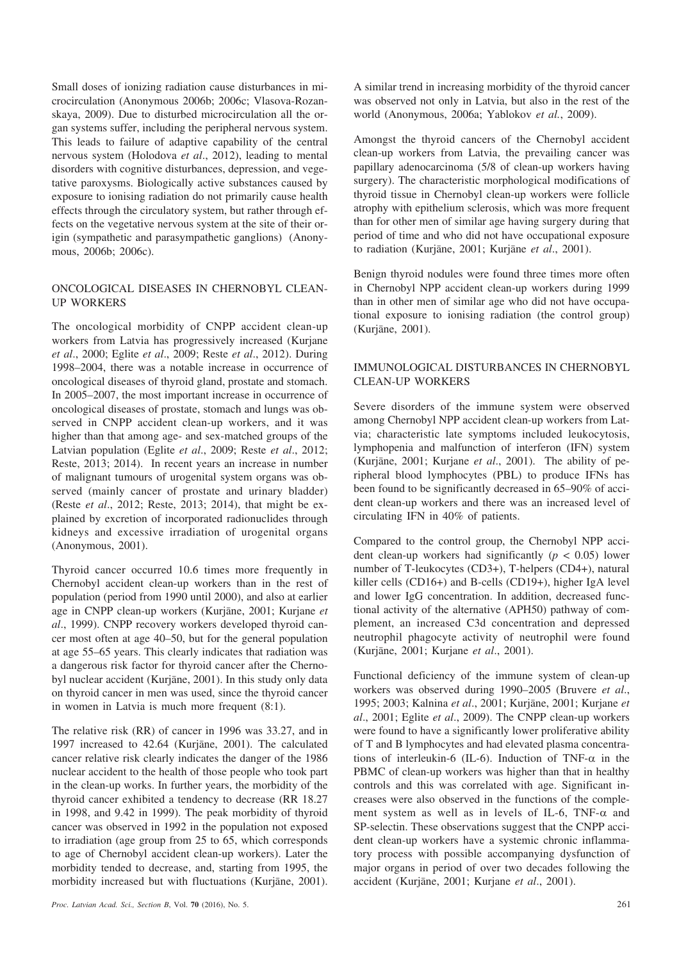Small doses of ionizing radiation cause disturbances in microcirculation (Anonymous 2006b; 2006c; Vlasova-Rozanskaya, 2009). Due to disturbed microcirculation all the organ systems suffer, including the peripheral nervous system. This leads to failure of adaptive capability of the central nervous system (Holodova *et al*., 2012), leading to mental disorders with cognitive disturbances, depression, and vegetative paroxysms. Biologically active substances caused by exposure to ionising radiation do not primarily cause health effects through the circulatory system, but rather through effects on the vegetative nervous system at the site of their origin (sympathetic and parasympathetic ganglions) (Anonymous, 2006b; 2006c).

#### ONCOLOGICAL DISEASES IN CHERNOBYL CLEAN-UP WORKERS

The oncological morbidity of CNPP accident clean-up workers from Latvia has progressively increased (Kurjane *et al*., 2000; Eglite *et al*., 2009; Reste *et al*., 2012). During 1998–2004, there was a notable increase in occurrence of oncological diseases of thyroid gland, prostate and stomach. In 2005–2007, the most important increase in occurrence of oncological diseases of prostate, stomach and lungs was observed in CNPP accident clean-up workers, and it was higher than that among age- and sex-matched groups of the Latvian population (Eglite *et al*., 2009; Reste *et al*., 2012; Reste, 2013; 2014). In recent years an increase in number of malignant tumours of urogenital system organs was observed (mainly cancer of prostate and urinary bladder) (Reste *et al*., 2012; Reste, 2013; 2014), that might be explained by excretion of incorporated radionuclides through kidneys and excessive irradiation of urogenital organs (Anonymous, 2001).

Thyroid cancer occurred 10.6 times more frequently in Chernobyl accident clean-up workers than in the rest of population (period from 1990 until 2000), and also at earlier age in CNPP clean-up workers (Kurjâne, 2001; Kurjane *et al*., 1999). CNPP recovery workers developed thyroid cancer most often at age 40–50, but for the general population at age 55–65 years. This clearly indicates that radiation was a dangerous risk factor for thyroid cancer after the Chernobyl nuclear accident (Kurjâne, 2001). In this study only data on thyroid cancer in men was used, since the thyroid cancer in women in Latvia is much more frequent (8:1).

The relative risk (RR) of cancer in 1996 was 33.27, and in 1997 increased to 42.64 (Kurjâne, 2001). The calculated cancer relative risk clearly indicates the danger of the 1986 nuclear accident to the health of those people who took part in the clean-up works. In further years, the morbidity of the thyroid cancer exhibited a tendency to decrease (RR 18.27 in 1998, and 9.42 in 1999). The peak morbidity of thyroid cancer was observed in 1992 in the population not exposed to irradiation (age group from 25 to 65, which corresponds to age of Chernobyl accident clean-up workers). Later the morbidity tended to decrease, and, starting from 1995, the morbidity increased but with fluctuations (Kurjâne, 2001).

A similar trend in increasing morbidity of the thyroid cancer was observed not only in Latvia, but also in the rest of the world (Anonymous, 2006a; Yablokov *et al.*, 2009).

Amongst the thyroid cancers of the Chernobyl accident clean-up workers from Latvia, the prevailing cancer was papillary adenocarcinoma (5/8 of clean-up workers having surgery). The characteristic morphological modifications of thyroid tissue in Chernobyl clean-up workers were follicle atrophy with epithelium sclerosis, which was more frequent than for other men of similar age having surgery during that period of time and who did not have occupational exposure to radiation (Kurjâne, 2001; Kurjâne *et al*., 2001).

Benign thyroid nodules were found three times more often in Chernobyl NPP accident clean-up workers during 1999 than in other men of similar age who did not have occupational exposure to ionising radiation (the control group) (Kurjâne, 2001).

# IMMUNOLOGICAL DISTURBANCES IN CHERNOBYL CLEAN-UP WORKERS

Severe disorders of the immune system were observed among Chernobyl NPP accident clean-up workers from Latvia; characteristic late symptoms included leukocytosis, lymphopenia and malfunction of interferon (IFN) system (Kurjâne, 2001; Kurjane *et al*., 2001). The ability of peripheral blood lymphocytes (PBL) to produce IFNs has been found to be significantly decreased in 65–90% of accident clean-up workers and there was an increased level of circulating IFN in 40% of patients.

Compared to the control group, the Chernobyl NPP accident clean-up workers had significantly (*p* < 0.05) lower number of T-leukocytes (CD3+), T-helpers (CD4+), natural killer cells (CD16+) and B-cells (CD19+), higher IgA level and lower IgG concentration. In addition, decreased functional activity of the alternative (APH50) pathway of complement, an increased C3d concentration and depressed neutrophil phagocyte activity of neutrophil were found (Kurjâne, 2001; Kurjane *et al*., 2001).

Functional deficiency of the immune system of clean-up workers was observed during 1990–2005 (Bruvere *et al*., 1995; 2003; Kalnina *et al*., 2001; Kurjâne, 2001; Kurjane *et al*., 2001; Eglite *et al*., 2009). The CNPP clean-up workers were found to have a significantly lower proliferative ability of T and B lymphocytes and had elevated plasma concentrations of interleukin-6 (IL-6). Induction of TNF- $\alpha$  in the PBMC of clean-up workers was higher than that in healthy controls and this was correlated with age. Significant increases were also observed in the functions of the complement system as well as in levels of IL-6, TNF- $\alpha$  and SP-selectin. These observations suggest that the CNPP accident clean-up workers have a systemic chronic inflammatory process with possible accompanying dysfunction of major organs in period of over two decades following the accident (Kurjâne, 2001; Kurjane *et al*., 2001).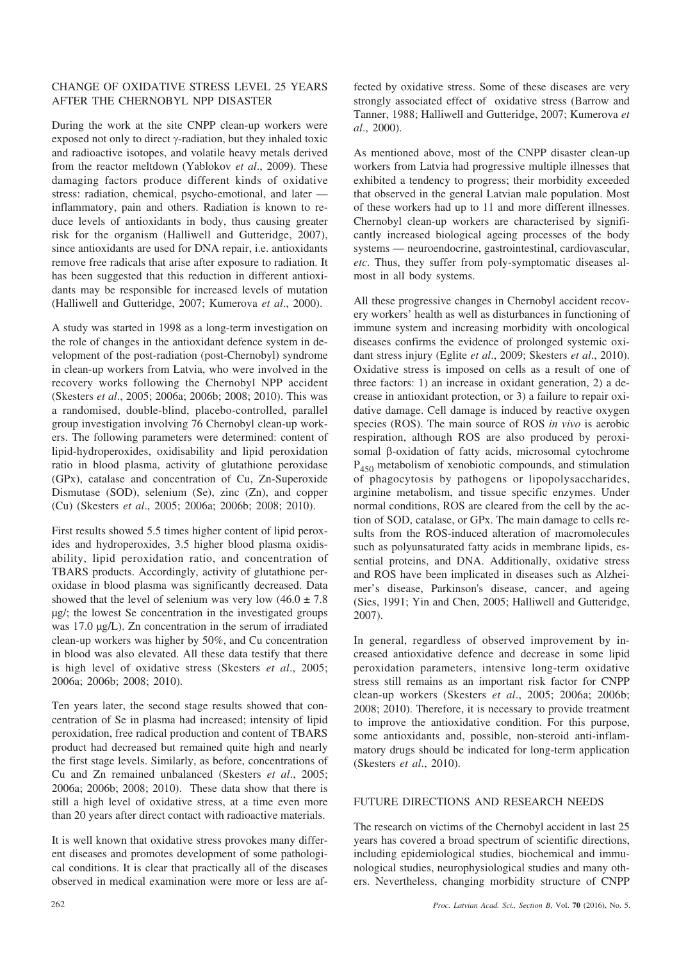### CHANGE OF OXIDATIVE STRESS LEVEL 25 YEARS AFTER THE CHERNOBYL NPP DISASTER

During the work at the site CNPP clean-up workers were exposed not only to direct  $\gamma$ -radiation, but they inhaled toxic and radioactive isotopes, and volatile heavy metals derived from the reactor meltdown (Yablokov *et al*., 2009). These damaging factors produce different kinds of oxidative stress: radiation, chemical, psycho-emotional, and later inflammatory, pain and others. Radiation is known to reduce levels of antioxidants in body, thus causing greater risk for the organism (Halliwell and Gutteridge, 2007), since antioxidants are used for DNA repair, i.e. antioxidants remove free radicals that arise after exposure to radiation. It has been suggested that this reduction in different antioxidants may be responsible for increased levels of mutation (Halliwell and Gutteridge, 2007; Kumerova *et al*., 2000).

A study was started in 1998 as a long-term investigation on the role of changes in the antioxidant defence system in development of the post-radiation (post-Chernobyl) syndrome in clean-up workers from Latvia, who were involved in the recovery works following the Chernobyl NPP accident (Skesters *et al*., 2005; 2006a; 2006b; 2008; 2010). This was a randomised, double-blind, placebo-controlled, parallel group investigation involving 76 Chernobyl clean-up workers. The following parameters were determined: content of lipid-hydroperoxides, oxidisability and lipid peroxidation ratio in blood plasma, activity of glutathione peroxidase (GPx), catalase and concentration of Cu, Zn-Superoxide Dismutase (SOD), selenium (Se), zinc (Zn), and copper (Cu) (Skesters *et al*., 2005; 2006a; 2006b; 2008; 2010).

First results showed 5.5 times higher content of lipid peroxides and hydroperoxides, 3.5 higher blood plasma oxidisability, lipid peroxidation ratio, and concentration of TBARS products. Accordingly, activity of glutathione peroxidase in blood plasma was significantly decreased. Data showed that the level of selenium was very low  $(46.0 \pm 7.8)$ µg/; the lowest Se concentration in the investigated groups was 17.0 µg/L). Zn concentration in the serum of irradiated clean-up workers was higher by 50%, and Cu concentration in blood was also elevated. All these data testify that there is high level of oxidative stress (Skesters *et al*., 2005; 2006a; 2006b; 2008; 2010).

Ten years later, the second stage results showed that concentration of Se in plasma had increased; intensity of lipid peroxidation, free radical production and content of TBARS product had decreased but remained quite high and nearly the first stage levels. Similarly, as before, concentrations of Cu and Zn remained unbalanced (Skesters *et al*., 2005; 2006a; 2006b; 2008; 2010). These data show that there is still a high level of oxidative stress, at a time even more than 20 years after direct contact with radioactive materials.

It is well known that oxidative stress provokes many different diseases and promotes development of some pathological conditions. It is clear that practically all of the diseases observed in medical examination were more or less are affected by oxidative stress. Some of these diseases are very strongly associated effect of oxidative stress (Barrow and Tanner, 1988; Halliwell and Gutteridge, 2007; Kumerova *et al*., 2000).

As mentioned above, most of the CNPP disaster clean-up workers from Latvia had progressive multiple illnesses that exhibited a tendency to progress; their morbidity exceeded that observed in the general Latvian male population. Most of these workers had up to 11 and more different illnesses. Chernobyl clean-up workers are characterised by significantly increased biological ageing processes of the body systems — neuroendocrine, gastrointestinal, cardiovascular, *etc*. Thus, they suffer from poly-symptomatic diseases almost in all body systems.

All these progressive changes in Chernobyl accident recovery workers' health as well as disturbances in functioning of immune system and increasing morbidity with oncological diseases confirms the evidence of prolonged systemic oxidant stress injury (Eglite *et al*., 2009; Skesters *et al*., 2010). Oxidative stress is imposed on cells as a result of one of three factors: 1) an increase in oxidant generation, 2) a decrease in antioxidant protection, or 3) a failure to repair oxidative damage. Cell damage is induced by reactive oxygen species (ROS). The main source of ROS *in vivo* is aerobic respiration, although ROS are also produced by peroxisomal  $\beta$ -oxidation of fatty acids, microsomal cytochrome  $P_{450}$  metabolism of xenobiotic compounds, and stimulation of phagocytosis by pathogens or lipopolysaccharides, arginine metabolism, and tissue specific enzymes. Under normal conditions, ROS are cleared from the cell by the action of SOD, catalase, or GPx. The main damage to cells results from the ROS-induced alteration of macromolecules such as polyunsaturated fatty acids in membrane lipids, essential proteins, and DNA. Additionally, oxidative stress and ROS have been implicated in diseases such as Alzheimer's disease, Parkinson's disease, cancer, and ageing (Sies, 1991; Yin and Chen, 2005; Halliwell and Gutteridge, 2007).

In general, regardless of observed improvement by increased antioxidative defence and decrease in some lipid peroxidation parameters, intensive long-term oxidative stress still remains as an important risk factor for CNPP clean-up workers (Skesters *et al*., 2005; 2006a; 2006b; 2008; 2010). Therefore, it is necessary to provide treatment to improve the antioxidative condition. For this purpose, some antioxidants and, possible, non-steroid anti-inflammatory drugs should be indicated for long-term application (Skesters *et al*., 2010).

#### FUTURE DIRECTIONS AND RESEARCH NEEDS

The research on victims of the Chernobyl accident in last 25 years has covered a broad spectrum of scientific directions, including epidemiological studies, biochemical and immunological studies, neurophysiological studies and many others. Nevertheless, changing morbidity structure of CNPP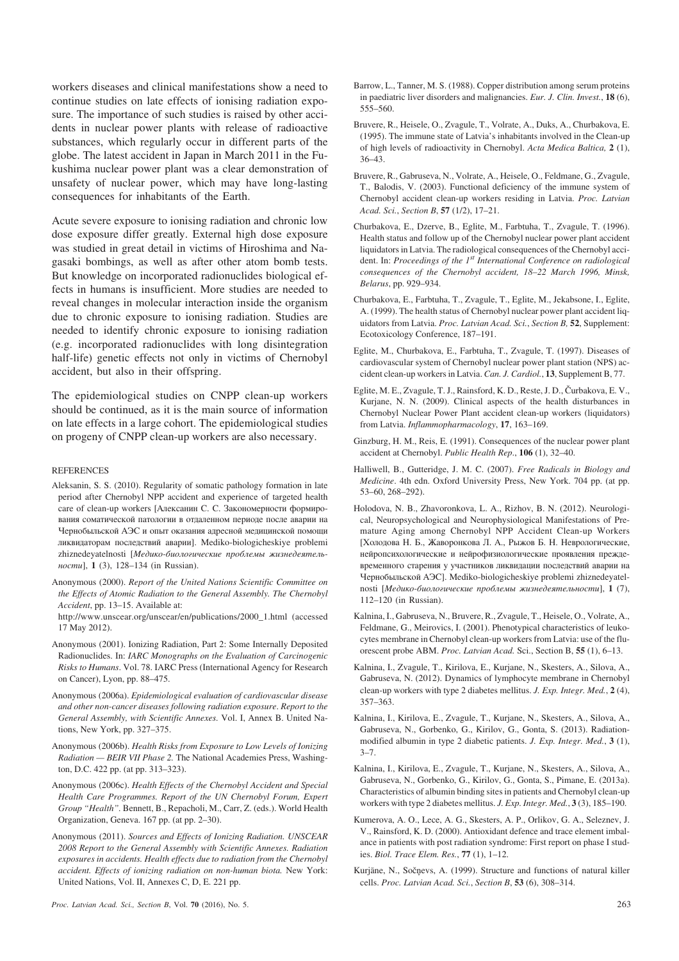workers diseases and clinical manifestations show a need to continue studies on late effects of ionising radiation exposure. The importance of such studies is raised by other accidents in nuclear power plants with release of radioactive substances, which regularly occur in different parts of the globe. The latest accident in Japan in March 2011 in the Fukushima nuclear power plant was a clear demonstration of unsafety of nuclear power, which may have long-lasting consequences for inhabitants of the Earth.

Acute severe exposure to ionising radiation and chronic low dose exposure differ greatly. External high dose exposure was studied in great detail in victims of Hiroshima and Nagasaki bombings, as well as after other atom bomb tests. But knowledge on incorporated radionuclides biological effects in humans is insufficient. More studies are needed to reveal changes in molecular interaction inside the organism due to chronic exposure to ionising radiation. Studies are needed to identify chronic exposure to ionising radiation (e.g. incorporated radionuclides with long disintegration half-life) genetic effects not only in victims of Chernobyl accident, but also in their offspring.

The epidemiological studies on CNPP clean-up workers should be continued, as it is the main source of information on late effects in a large cohort. The epidemiological studies on progeny of CNPP clean-up workers are also necessary.

#### **REFERENCES**

Aleksanin, S. S. (2010). Regularity of somatic pathology formation in late period after Chernobyl NPP accident and experience of targeted health care of clean-up workers [Алексанин С. С. Закономерности формирования соматической патологии в отдаленном периоде после аварии на Чернобыльской АЭС и опыт оказания адресной медицинской помощи ликвидаторам последствий аварии]. Mediko-biologicheskiye problemi zhiznedeyatelnosti [Медико-биологические проблемы жизнедеятель-*HOCMU*], 1 (3), 128–134 (in Russian).

Anonymous (2000). *Report of the United Nations Scientific Committee on the Effects of Atomic Radiation to the General Assembly. The Chernobyl Accident*, pp. 13–15. Available at:

http://www.unscear.org/unscear/en/publications/2000\_1.html (accessed 17 May 2012).

- Anonymous (2001). Ionizing Radiation, Part 2: Some Internally Deposited Radionuclides. In: *IARC Monographs on the Evaluation of Carcinogenic Risks to Humans*. Vol. 78. IARC Press (International Agency for Research on Cancer), Lyon, pp. 88–475.
- Anonymous (2006a). *Epidemiological evaluation of cardiovascular disease and other non-cancer diseases following radiation exposure*. *Report to the General Assembly, with Scientific Annexes.* Vol. I, Annex B. United Nations, New York, pp. 327–375.
- Anonymous (2006b). *Health Risks from Exposure to Low Levels of Ionizing Radiation — BEIR VII Phase 2.* The National Academies Press, Washington, D.C. 422 pp. (at pp. 313–323).
- Anonymous (2006c). *Health Effects of the Chernobyl Accident and Special Health Care Programmes. Report of the UN Chernobyl Forum, Expert Group "Health".* Bennett, B., Repacholi, M., Carr, Z. (eds.). World Health Organization, Geneva. 167 pp. (at pp. 2–30).
- Anonymous (2011). *Sources and Effects of Ionizing Radiation. UNSCEAR 2008 Report to the General Assembly with Scientific Annexes. Radiation exposures in accidents. Health effects due to radiation from the Chernobyl accident. Effects of ionizing radiation on non-human biota.* New York: United Nations, Vol. II, Annexes C, D, E. 221 pp.
- Barrow, L., Tanner, M. S. (1988). Copper distribution among serum proteins in paediatric liver disorders and malignancies. *Eur. J. Clin. Invest.*, **18** (6), 555–560.
- Bruvere, R., Heisele, O., Zvagule, T., Volrate, A., Duks, A., Churbakova, E. (1995). The immune state of Latvia's inhabitants involved in the Clean-up of high levels of radioactivity in Chernobyl. *Acta Medica Baltica,* **2** (1), 36–43.
- Bruvere, R., Gabruseva, N., Volrate, A., Heisele, O., Feldmane, G., Zvagule, T., Balodis, V. (2003). Functional deficiency of the immune system of Chernobyl accident clean-up workers residing in Latvia. *Proc. Latvian Acad. Sci.*, *Section B*, **57** (1/2), 17–21.
- Churbakova, E., Dzerve, B., Eglite, M., Farbtuha, T., Zvagule, T. (1996). Health status and follow up of the Chernobyl nuclear power plant accident liquidators in Latvia. The radiological consequences of the Chernobyl accident. In: *Proceedings of the 1st International Conference on radiological consequences of the Chernobyl accident, 18–22 March 1996, Minsk, Belarus*, pp. 929–934.
- Churbakova, E., Farbtuha, T., Zvagule, T., Eglite, M., Jekabsone, I., Eglite, A. (1999). The health status of Chernobyl nuclear power plant accident liquidators from Latvia. *Proc. Latvian Acad. Sci.*, *Section B,* **52**, Supplement: Ecotoxicology Conference, 187–191.
- Eglite, M., Churbakova, E., Farbtuha, T., Zvagule, T. (1997). Diseases of cardiovascular system of Chernobyl nuclear power plant station (NPS) accident clean-up workers in Latvia. *Can. J. Cardiol.*, **13**, Supplement B, 77.
- Eglite, M. E., Zvagule, T. J., Rainsford, K. D., Reste, J. D., Èurbakova, E. V., Kurjane, N. N. (2009). Clinical aspects of the health disturbances in Chernobyl Nuclear Power Plant accident clean-up workers (liquidators) from Latvia. *Inflammopharmacology*, **17**, 163–169.
- Ginzburg, H. M., Reis, E. (1991). Consequences of the nuclear power plant accident at Chernobyl. *Public Health Rep*., **106** (1), 32–40.
- Halliwell, B., Gutteridge, J. M. C. (2007). *Free Radicals in Biology and Medicine*. 4th edn. Oxford University Press, New York. 704 pp. (at pp. 53–60, 268–292).
- Holodova, N. B., Zhavoronkova, L. A., Rizhov, B. N. (2012). Neurological, Neuropsychological and Neurophysiological Manifestations of Premature Aging among Chernobyl NPP Accident Clean-up Workers [Холодова Н. Б., Жаворонкова Л. А., Рыжов Б. Н. Неврологические, нейропсихологические и нейрофизиологические проявления преждевременного старения у участников ликвидации последствий аварии на Чернобыльской АЭС]. Mediko-biologicheskiye problemi zhiznedeyatelnosti [*Ìåäèêî-áèîëîãè÷åñêèå ïðîáëåìû æèçíåäåÿòåëüíîñòè*], **1** (7), 112–120 (in Russian).
- Kalnina, I., Gabruseva, N., Bruvere, R., Zvagule, T., Heisele, O., Volrate, A., Feldmane, G., Meirovics, I. (2001). Phenotypical characteristics of leukocytes membrane in Chernobyl clean-up workers from Latvia: use of the fluorescent probe ABM. *Proc. Latvian Acad.* Sci., Section B, **55** (1), 6–13.
- Kalnina, I., Zvagule, T., Kirilova, E., Kurjane, N., Skesters, A., Silova, A., Gabruseva, N. (2012). Dynamics of lymphocyte membrane in Chernobyl clean-up workers with type 2 diabetes mellitus. *J. Exp. Integr. Med.*, **2** (4), 357–363.
- Kalnina, I., Kirilova, E., Zvagule, T., Kurjane, N., Skesters, A., Silova, A., Gabruseva, N., Gorbenko, G., Kirilov, G., Gonta, S. (2013). Radiationmodified albumin in type 2 diabetic patients. *J. Exp. Integr. Med.*, **3** (1),  $3 - 7$ .
- Kalnina, I., Kirilova, E., Zvagule, T., Kurjane, N., Skesters, A., Silova, A., Gabruseva, N., Gorbenko, G., Kirilov, G., Gonta, S., Pimane, E. (2013a). Characteristics of albumin binding sites in patients and Chernobyl clean-up workers with type 2 diabetes mellitus. *J. Exp. Integr. Med.*, **3** (3), 185–190.
- Kumerova, A. O., Lece, A. G., Skesters, A. P., Orlikov, G. A., Seleznev, J. V., Rainsford, K. D. (2000). Antioxidant defence and trace element imbalance in patients with post radiation syndrome: First report on phase I studies. *Biol. Trace Elem. Res.*, **77** (1), 1–12.
- Kurjāne, N., Sočņevs, A. (1999). Structure and functions of natural killer cells. *Proc. Latvian Acad. Sci.*, *Section B*, **53** (6), 308–314.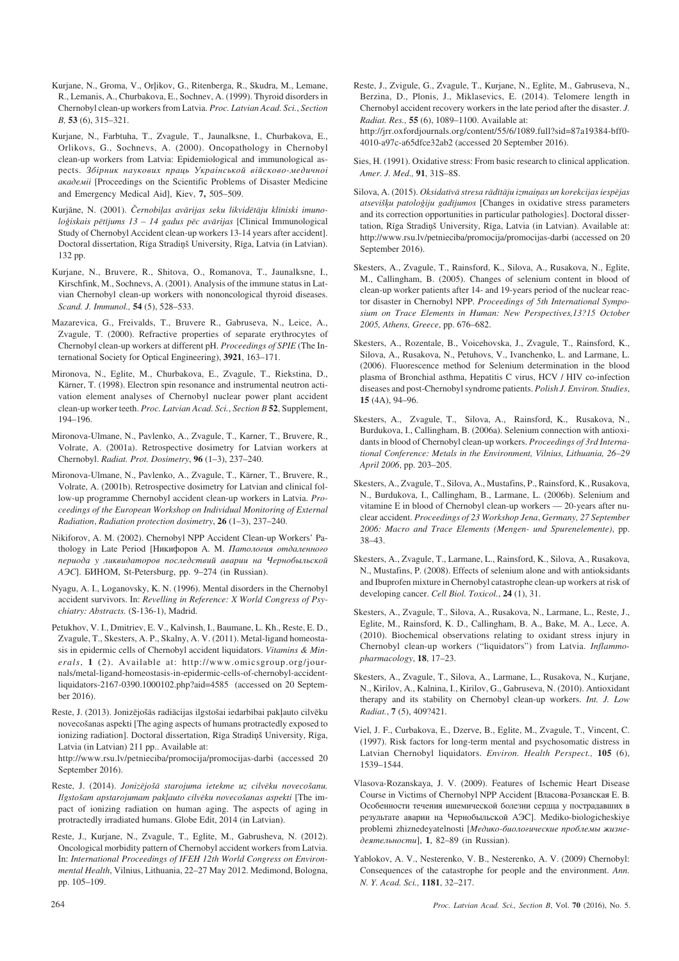- Kurjane, N., Groma, V., Orlikov, G., Ritenberga, R., Skudra, M., Lemane, R., Lemanis, A., Churbakova, E., Sochnev, A. (1999). Thyroid disorders in Chernobyl clean-up workers from Latvia. *Proc. Latvian Acad. Sci.*, *Section B,* **53** (6), 315–321.
- Kurjane, N., Farbtuha, T., Zvagule, T., Jaunalksne, I., Churbakova, E., Orlikovs, G., Sochnevs, A. (2000). Oncopathology in Chernobyl clean-up workers from Latvia: Epidemiological and immunological aspects. *Çáiðíèê íàóêîâèõ ïðàöü Óêðàiíñüêîé âiéñêîâî-ìåäè÷íîi* akademii [Proceedings on the Scientific Problems of Disaster Medicine and Emergency Medical Aid], Kiev, **7,** 505–509.
- Kurjāne, N. (2001). Černobiļas avārijas seku likvidētāju klīniski imuno*loìiskais pçtîjums 13 – 14 gadus pçc avârijas* [Clinical Immunological Study of Chernobyl Accident clean-up workers 13-14 years after accident]. Doctoral dissertation, Rīga Stradiņš University, Rīga, Latvia (in Latvian). 132 pp.
- Kurjane, N., Bruvere, R., Shitova, O., Romanova, T., Jaunalksne, I., Kirschfink, M., Sochnevs, A. (2001). Analysis of the immune status in Latvian Chernobyl clean-up workers with nononcological thyroid diseases. *Scand. J. Immunol.,* **54** (5), 528–533.
- Mazarevica, G., Freivalds, T., Bruvere R., Gabruseva, N., Leice, A., Zvagule, T. (2000). Refractive properties of separate erythrocytes of Chernobyl clean-up workers at different pH. *Proceedings of SPIE* (The International Society for Optical Engineering), **3921**, 163–171.
- Mironova, N., Eglite, M., Churbakova, E., Zvagule, T., Riekstina, D., Kärner, T. (1998). Electron spin resonance and instrumental neutron activation element analyses of Chernobyl nuclear power plant accident clean-up worker teeth. *Proc. Latvian Acad. Sci.*, *Section B* **52**, Supplement, 194–196.
- Mironova-Ulmane, N., Pavlenko, A., Zvagule, T., Karner, T., Bruvere, R., Volrate, A. (2001a). Retrospective dosimetry for Latvian workers at Chernobyl. *Radiat. Prot. Dosimetry*, **96** (1–3), 237–240.
- Mironova-Ulmane, N., Pavlenko, A., Zvagule, T., Kärner, T., Bruvere, R., Volrate, A. (2001b). Retrospective dosimetry for Latvian and clinical follow-up programme Chernobyl accident clean-up workers in Latvia. *Proceedings of the European Workshop on Individual Monitoring of External Radiation*, *Radiation protection dosimetry*, **26** (1–3), 237–240.
- Nikiforov, A. M. (2002). Chernobyl NPP Accident Clean-up Workers' Pathology in Late Period [Никифоров А. М. *Патология отдаленного* периода у ликвидаторов последствий аварии на Чернобыльской *A* $\partial$ *C*]. *BHHOM*, St-Petersburg, pp. 9–274 (in Russian).
- Nyagu, A. I., Loganovsky, K. N. (1996). Mental disorders in the Chernobyl accident survivors. In: *Revelling in Reference: X World Congress of Psychiatry: Abstracts.* (S-136-1), Madrid.
- Petukhov, V. I., Dmitriev, E. V., Kalvinsh, I., Baumane, L. Kh., Reste, E. D., Zvagule, T., Skesters, A. P., Skalny, A. V. (2011). Metal-ligand homeostasis in epidermic cells of Chernobyl accident liquidators. *Vitamins & Minerals*, **1** (2). Available at: http://www.omicsgroup.org/journals/metal-ligand-homeostasis-in-epidermic-cells-of-chernobyl-accidentliquidators-2167-0390.1000102.php?aid=4585 (accessed on 20 September 2016).
- Reste, J. (2013). Jonizējošās radiācijas ilgstošai iedarbībai pakļauto cilvēku novecoðanas aspekti [The aging aspects of humans protractedly exposed to ionizing radiation]. Doctoral dissertation, Rīga Stradiņš University, Rīga, Latvia (in Latvian) 211 pp.. Available at:

http://www.rsu.lv/petnieciba/promocija/promocijas-darbi (accessed 20 September 2016).

- Reste, J. (2014). *Jonizçjoðâ starojuma ietekme uz cilvçku novecoðanu. Ilgstoðam apstarojumam pakïauto cilvçku novecoðanas aspekti* [The impact of ionizing radiation on human aging. The aspects of aging in protractedly irradiated humans. Globe Edit, 2014 (in Latvian).
- Reste, J., Kurjane, N., Zvagule, T., Eglite, M., Gabrusheva, N. (2012). Oncological morbidity pattern of Chernobyl accident workers from Latvia. In: *International Proceedings of IFEH 12th World Congress on Environmental Health*, Vilnius, Lithuania, 22–27 May 2012. Medimond, Bologna, pp. 105–109.
- Reste, J., Zvigule, G., Zvagule, T., Kurjane, N., Eglite, M., Gabruseva, N., Berzina, D., Plonis, J., Miklasevics, E. (2014). Telomere length in Chernobyl accident recovery workers in the late period after the disaster. *J. Radiat. Res.,* **55** (6), 1089–1100. Available at: http://jrr.oxfordjournals.org/content/55/6/1089.full?sid=87a19384-bff0- 4010-a97c-a65dfce32ab2 (accessed 20 September 2016).
- Sies, H. (1991). Oxidative stress: From basic research to clinical application. *Amer. J. Med.,* **91**, 31S–8S.
- Silova, A. (2015). *Oksidatīvā stresa rādītāju izmaiņas un korekcijas iespējas atseviðíu patoloìiju gadîjumos* [Changes in oxidative stress parameters and its correction opportunities in particular pathologies]. Doctoral dissertation, Rīga Stradiņš University, Rīga, Latvia (in Latvian). Available at: http://www.rsu.lv/petnieciba/promocija/promocijas-darbi (accessed on 20 September 2016).
- Skesters, A., Zvagule, T., Rainsford, K., Silova, A., Rusakova, N., Eglite, M., Callingham, B. (2005). Changes of selenium content in blood of clean-up worker patients after 14- and 19-years period of the nuclear reactor disaster in Chernobyl NPP. *Proceedings of 5th International Symposium on Trace Elements in Human: New Perspectives,13?15 October 2005, Athens, Greece*, pp. 676–682.
- Skesters, A., Rozentale, B., Voicehovska, J., Zvagule, T., Rainsford, K., Silova, A., Rusakova, N., Petuhovs, V., Ivanchenko, L. and Larmane, L. (2006). Fluorescence method for Selenium determination in the blood plasma of Bronchial asthma, Hepatitis C virus, HCV / HIV co-infection diseases and post-Chernobyl syndrome patients. *Polish J. Environ. Studies*, **15** (4A), 94–96.
- Skesters, A., Zvagule, T., Silova, A., Rainsford, K., Rusakova, N., Burdukova, I., Callingham, B. (2006a). Selenium connection with antioxidants in blood of Chernobyl clean-up workers. *Proceedings of 3rd International Conference: Metals in the Environment, Vilnius, Lithuania, 26–29 April 2006*, pp. 203–205.
- Skesters, A., Zvagule, T., Silova, A., Mustafins, P., Rainsford, K., Rusakova, N., Burdukova, I., Callingham, B., Larmane, L. (2006b). Selenium and vitamine E in blood of Chernobyl clean-up workers — 20-years after nuclear accident. *Proceedings of 23 Workshop Jena*, *Germany, 27 September 2006: Macro and Trace Elements (Mengen- und Spurenelemente)*, pp. 38–43.
- Skesters, A., Zvagule, T., Larmane, L., Rainsford, K., Silova, A., Rusakova, N., Mustafins, P. (2008). Effects of selenium alone and with antioksidants and Ibuprofen mixture in Chernobyl catastrophe clean-up workers at risk of developing cancer. *Cell Biol. Toxicol.*, **24** (1), 31.
- Skesters, A., Zvagule, T., Silova, A., Rusakova, N., Larmane, L., Reste, J., Eglite, M., Rainsford, K. D., Callingham, B. A., Bake, M. A., Lece, A. (2010). Biochemical observations relating to oxidant stress injury in Chernobyl clean-up workers ("liquidators") from Latvia. *Inflammopharmacology*, **18**, 17–23.
- Skesters, A., Zvagule, T., Silova, A., Larmane, L., Rusakova, N., Kurjane, N., Kirilov, A., Kalnina, I., Kirilov, G., Gabruseva, N. (2010). Antioxidant therapy and its stability on Chernobyl clean-up workers. *Int. J. Low Radiat.*, **7** (5), 409?421.
- Viel, J. F., Curbakova, E., Dzerve, B., Eglite, M., Zvagule, T., Vincent, C. (1997). Risk factors for long-term mental and psychosomatic distress in Latvian Chernobyl liquidators. *Environ. Health Perspect.,* **105** (6), 1539–1544.
- Vlasova-Rozanskaya, J. V. (2009). Features of Ischemic Heart Disease Course in Victims of Chernobyl NPP Accident [Власова-Розанская Е. В. Особенности течения ишемической болезни сердца у пострадавших в результате аварии на Чернобыльской АЭС]. Mediko-biologicheskiye problemi zhiznedeyatelnosti [Медико-биологические проблемы жизнедеятельности], **1**, 82–89 (in Russian).
- Yablokov, A. V., Nesterenko, V. B., Nesterenko, A. V. (2009) Chernobyl: Consequences of the catastrophe for people and the environment. *Ann. N. Y. Acad. Sci.,* **1181**, 32–217.